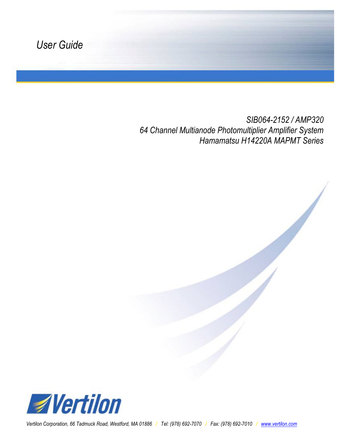

*SIB064-2152 / AMP320 64 Channel Multianode Photomultiplier Amplifier System Hamamatsu H14220A MAPMT Series* 



*Vertilon Corporation, 66 Tadmuck Road, Westford, MA 01886 / Tel: (978) 692-7070 / Fax: (978) 692-7010 / [www.vertilon.com](http://www.vertilon.com/)*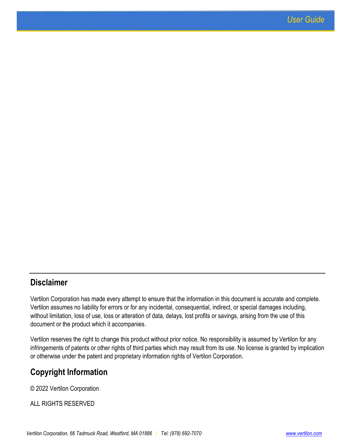#### **Disclaimer**

Vertilon Corporation has made every attempt to ensure that the information in this document is accurate and complete. Vertilon assumes no liability for errors or for any incidental, consequential, indirect, or special damages including, without limitation, loss of use, loss or alteration of data, delays, lost profits or savings, arising from the use of this document or the product which it accompanies.

Vertilon reserves the right to change this product without prior notice. No responsibility is assumed by Vertilon for any infringements of patents or other rights of third parties which may result from its use. No license is granted by implication or otherwise under the patent and proprietary information rights of Vertilon Corporation.

### **Copyright Information**

© 2022 Vertilon Corporation

ALL RIGHTS RESERVED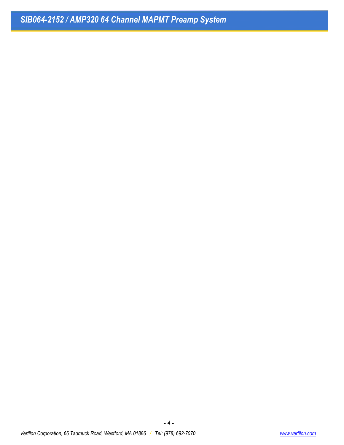# *SIB064-2152 / AMP320 64 Channel MAPMT Preamp System*

*- 4 -*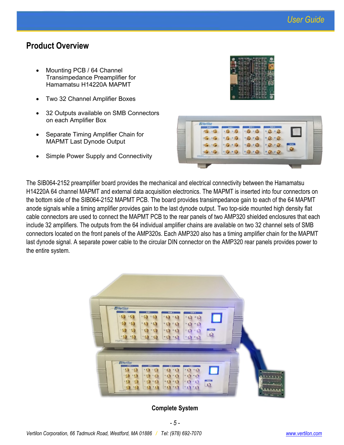### **Product Overview**

- Mounting PCB / 64 Channel Transimpedance Preamplifier for Hamamatsu H14220A MAPMT
- Two 32 Channel Amplifier Boxes
- 32 Outputs available on SMB Connectors on each Amplifier Box
- Separate Timing Amplifier Chain for MAPMT Last Dynode Output
- Simple Power Supply and Connectivity





The SIB064-2152 preamplifier board provides the mechanical and electrical connectivity between the Hamamatsu H14220A 64 channel MAPMT and external data acquisition electronics. The MAPMT is inserted into four connectors on the bottom side of the SIB064-2152 MAPMT PCB. The board provides transimpedance gain to each of the 64 MAPMT anode signals while a timing amplifier provides gain to the last dynode output. Two top-side mounted high density flat cable connectors are used to connect the MAPMT PCB to the rear panels of two AMP320 shielded enclosures that each include 32 amplifiers. The outputs from the 64 individual amplifier chains are available on two 32 channel sets of SMB connectors located on the front panels of the AMP320s. Each AMP320 also has a timing amplifier chain for the MAPMT last dynode signal. A separate power cable to the circular DIN connector on the AMP320 rear panels provides power to the entire system.



#### **Complete System**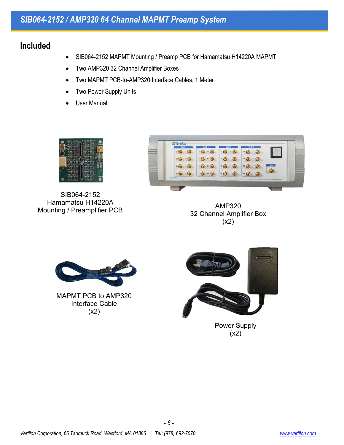## *SIB064-2152 / AMP320 64 Channel MAPMT Preamp System*

### **Included**

- SIB064-2152 MAPMT Mounting / Preamp PCB for Hamamatsu H14220A MAPMT
- Two AMP320 32 Channel Amplifier Boxes
- Two MAPMT PCB-to-AMP320 Interface Cables, 1 Meter
- Two Power Supply Units
- User Manual



SIB064-2152 Hamamatsu H14220A mamamatsu HT422UA<br>Mounting / Preamplifier PCB Ample 23 Channel Ampl



32 Channel Amplifier Box (x2)



MAPMT PCB to AMP320 Interface Cable (x2)



Power Supply (x2)

*- 6 -*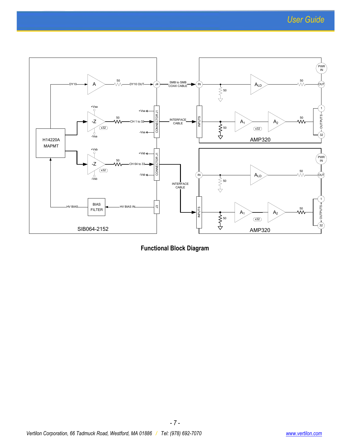

**Functional Block Diagram**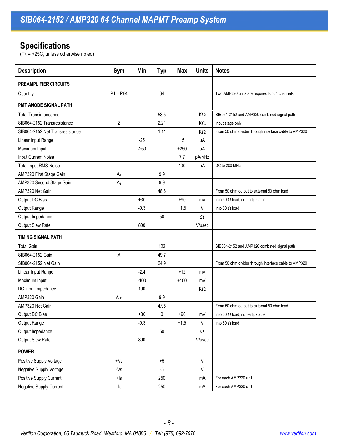### **Specifications**

 $(T_A = +25C$ , unless otherwise noted)

| <b>Description</b>              | Sym             | Min    | <b>Typ</b>   | <b>Max</b> | <b>Units</b>    | <b>Notes</b>                                          |
|---------------------------------|-----------------|--------|--------------|------------|-----------------|-------------------------------------------------------|
| <b>PREAMPLIFIER CIRCUITS</b>    |                 |        |              |            |                 |                                                       |
| Quantity                        | $P1 - P64$      |        | 64           |            |                 | Two AMP320 units are required for 64 channels         |
| <b>PMT ANODE SIGNAL PATH</b>    |                 |        |              |            |                 |                                                       |
| <b>Total Transimpedance</b>     |                 |        | 53.5         |            | KΩ              | SIB064-2152 and AMP320 combined signal path           |
| SIB064-2152 Transresistance     | Ζ               |        | 2.21         |            | KΩ              | Input stage only                                      |
| SIB064-2152 Net Transresistance |                 |        | 1.11         |            | KΩ              | From 50 ohm divider through interface cable to AMP320 |
| Linear Input Range              |                 | $-25$  |              | $+5$       | uA              |                                                       |
| Maximum Input                   |                 | $-250$ |              | $+250$     | uA              |                                                       |
| Input Current Noise             |                 |        |              | 7.7        | pA/ $\sqrt{Hz}$ |                                                       |
| <b>Total Input RMS Noise</b>    |                 |        |              | 100        | nA              | DC to 200 MHz                                         |
| AMP320 First Stage Gain         | A <sub>1</sub>  |        | 9.9          |            |                 |                                                       |
| AMP320 Second Stage Gain        | A <sub>2</sub>  |        | 9.9          |            |                 |                                                       |
| AMP320 Net Gain                 |                 |        | 48.6         |            |                 | From 50 ohm output to external 50 ohm load            |
| Output DC Bias                  |                 | $+30$  |              | $+90$      | mV              | Into 50 $\Omega$ load, non-adjustable                 |
| Output Range                    |                 | $-0.3$ |              | $+1.5$     | $\vee$          | Into 50 $\Omega$ load                                 |
| Output Impedance                |                 |        | 50           |            | Ω               |                                                       |
| Output Slew Rate                |                 | 800    |              |            | V/usec          |                                                       |
| <b>TIMING SIGNAL PATH</b>       |                 |        |              |            |                 |                                                       |
| <b>Total Gain</b>               |                 |        | 123          |            |                 | SIB064-2152 and AMP320 combined signal path           |
| SIB064-2152 Gain                | Α               |        | 49.7         |            |                 |                                                       |
| SIB064-2152 Net Gain            |                 |        | 24.9         |            |                 | From 50 ohm divider through interface cable to AMP320 |
| Linear Input Range              |                 | $-2.4$ |              | $+12$      | mV              |                                                       |
| Maximum Input                   |                 | $-100$ |              | $+100$     | mV              |                                                       |
| DC Input Impedance              |                 | 100    |              |            | KΩ              |                                                       |
| AMP320 Gain                     | A <sub>LD</sub> |        | 9.9          |            |                 |                                                       |
| AMP320 Net Gain                 |                 |        | 4.95         |            |                 | From 50 ohm output to external 50 ohm load            |
| Output DC Bias                  |                 | $+30$  | $\mathbf{0}$ | $+90$      | mV              | Into 50 $\Omega$ load, non-adjustable                 |
| Output Range                    |                 | $-0.3$ |              | $+1.5$     | $\mathsf V$     | Into 50 $\Omega$ load                                 |
| Output Impedance                |                 |        | $50\,$       |            | Ω               |                                                       |
| Output Slew Rate                |                 | 800    |              |            | V/usec          |                                                       |
| <b>POWER</b>                    |                 |        |              |            |                 |                                                       |
| Positive Supply Voltage         | $+Vs$           |        | $+5$         |            | $\mathsf{V}$    |                                                       |
| Negative Supply Voltage         | $-Vs$           |        | $-5$         |            | V               |                                                       |
| Positive Supply Current         | $+$ $ s $       |        | 250          |            | mA              | For each AMP320 unit                                  |
| Negative Supply Current         | - $\vert s$     |        | 250          |            | mA              | For each AMP320 unit                                  |

*- 8 -*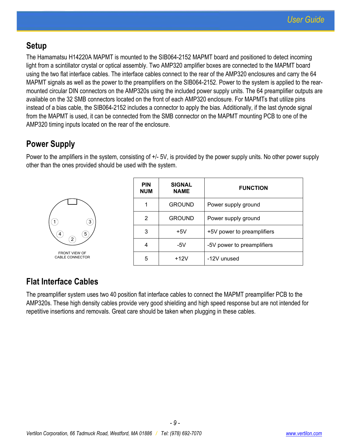## **Setup**

The Hamamatsu H14220A MAPMT is mounted to the SIB064-2152 MAPMT board and positioned to detect incoming light from a scintillator crystal or optical assembly. Two AMP320 amplifier boxes are connected to the MAPMT board using the two flat interface cables. The interface cables connect to the rear of the AMP320 enclosures and carry the 64 MAPMT signals as well as the power to the preamplifiers on the SIB064-2152. Power to the system is applied to the rearmounted circular DIN connectors on the AMP320s using the included power supply units. The 64 preamplifier outputs are available on the 32 SMB connectors located on the front of each AMP320 enclosure. For MAPMTs that utilize pins instead of a bias cable, the SIB064-2152 includes a connector to apply the bias. Additionally, if the last dynode signal from the MAPMT is used, it can be connected from the SMB connector on the MAPMT mounting PCB to one of the AMP320 timing inputs located on the rear of the enclosure.

## **Power Supply**

Power to the amplifiers in the system, consisting of +/- 5V, is provided by the power supply units. No other power supply other than the ones provided should be used with the system.



## **Flat Interface Cables**

The preamplifier system uses two 40 position flat interface cables to connect the MAPMT preamplifier PCB to the AMP320s. These high density cables provide very good shielding and high speed response but are not intended for repetitive insertions and removals. Great care should be taken when plugging in these cables.

*- 9 -*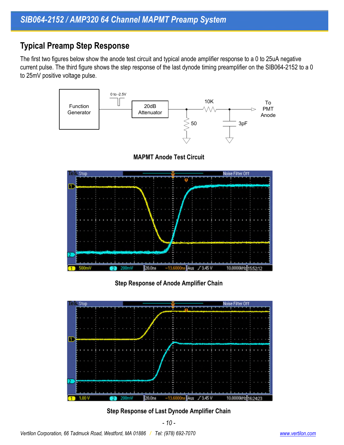## **Typical Preamp Step Response**

The first two figures below show the anode test circuit and typical anode amplifier response to a 0 to 25uA negative current pulse. The third figure shows the step response of the last dynode timing preamplifier on the SIB064-2152 to a 0 to 25mV positive voltage pulse.







**Step Response of Anode Amplifier Chain** 



**Step Response of Last Dynode Amplifier Chain**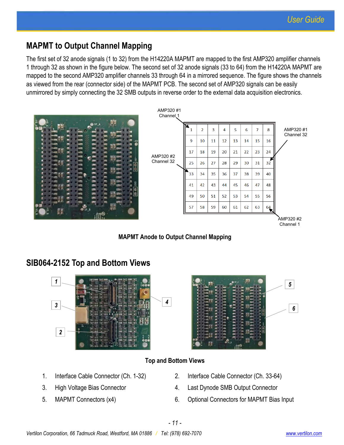## **MAPMT to Output Channel Mapping**

The first set of 32 anode signals (1 to 32) from the H14220A MAPMT are mapped to the first AMP320 amplifier channels 1 through 32 as shown in the figure below. The second set of 32 anode signals (33 to 64) from the H14220A MAPMT are mapped to the second AMP320 amplifier channels 33 through 64 in a mirrored sequence. The figure shows the channels as viewed from the rear (connector side) of the MAPMT PCB. The second set of AMP320 signals can be easily unmirrored by simply connecting the 32 SMB outputs in reverse order to the external data acquisition electronics.



**MAPMT Anode to Output Channel Mapping** 

### **SIB064-2152 Top and Bottom Views**



#### **Top and Bottom Views**

- 
- 
- 
- 1. Interface Cable Connector (Ch. 1-32) 2. Interface Cable Connector (Ch. 33-64)
- 3. High Voltage Bias Connector 4. Last Dynode SMB Output Connector
- 5. MAPMT Connectors (x4) 6. Optional Connectors for MAPMT Bias Input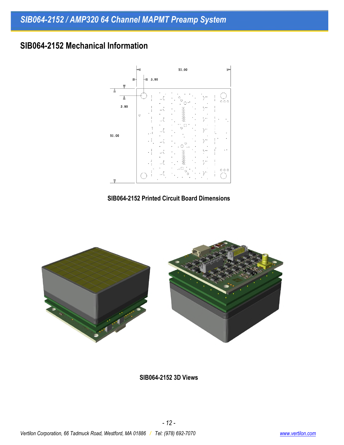## **SIB064-2152 Mechanical Information**



#### **SIB064-2152 Printed Circuit Board Dimensions**



#### **SIB064-2152 3D Views**

*- 12 -*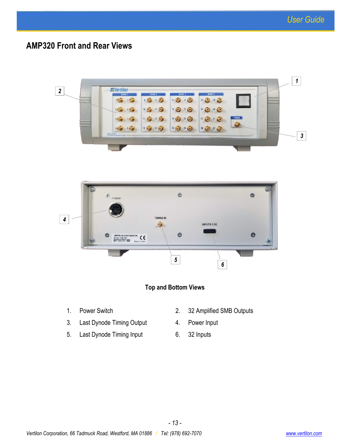## **AMP320 Front and Rear Views**





#### **Top and Bottom Views**

*- 13 -* 

- 
- 3. Last Dynode Timing Output 4. Power Input
- 5. Last Dynode Timing Input 6. 32 Inputs
- 1. Power Switch 2. 32 Amplified SMB Outputs
	-
	-